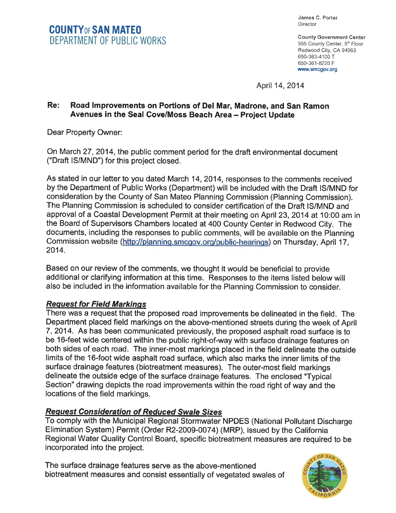James C. Porter **Director** 

County Government Center 555 County Center, 5<sup>th</sup> Floor Redwood City, CA 94063 650-363-4100 T 650-361-8220 F www.smcgov.org

April 14, 2014

### Re: Road lmprovements on Portions of Del Mar, Madrone, and San Ramon Avenues in the Seal Cove/Moss Beach Area - Project Update

Dear Property Owner:

On March 27,2014, the public comment period for the draft environmental document ("Draft lS/MND") for this project closed.

As stated in our letter to you dated March 14,2014, responses to the comments received by the Department of Public Works (Department) will be included with the Draft IS/MND for consideration by the County of San Mateo Planning Commission (Planning Commission). The Planning Commission is scheduled to consider certification'of the Draft lS/MND and approval of a Coastal Development Permit at their meeting on April 23,2014 at 10:00 am in the Board of Supervisors Chambers located at 400 County Center in Redwood City. The documents, including the responses to public comments, will be available on the Planning Commission website (http://planning.smcgov.org/public-hearings) on Thursday, April 17, 2014.

Based on our review of the comments, we thought it would be beneficial to provide additional or clarifying information at this time. Responses to the items listed below will also be included in the information available for the Planning Commission to consider.

# **Request for Field Markings**

There was a request that the proposed road improvements be delineated in the field. The Department placed field markings on the above-mentioned streets during the week of April 7, 2014. As has been communicated previously, the proposed asphalt road surface is to be 16-feet wide centered within the public right-of-way with surface drainage features on both sides of each road. The inner-most markings placed in the field delineate the outside limits of the 16-foot wide asphalt road surface, which also marks the inner limits of the surface drainage features (biotreatment measures). The outer-most field markings delineate the outside edge of the surface drainage features. The enclosed 'Typical Section" drawing depicts the road improvements within the road right of way and the locations of the field markings.

# Request Consideration of Reduced Swale Sizes

To comply with the Municipal Regional Stormwater NPDES (National Pollutant Discharge Elimination System) Permit (Order R2-2009-0074) (MRP), issued by the California Regional Water Quality Control Board, specifíc biotreatment measures are required to be incorporated into the project.

The surface drainage features serve as the above-mentioned biotreatment measures and consist essentially of vegetated swales of

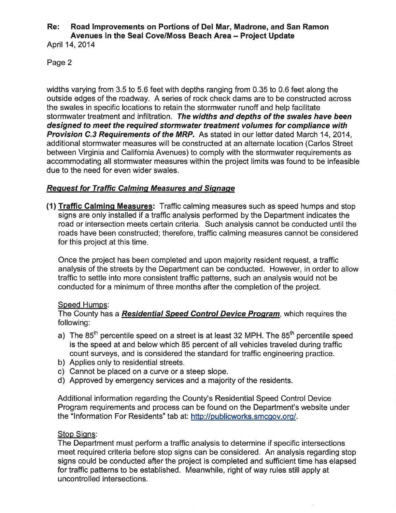# Re: Road lmprovements on Portions of Del Mar, Madrone, and San Ramon Avenues in the Seal Cove/Moss Beach Area - Project Update

April 14, 2014

Page 2

widths varying from 3.5 to 5.6 feet with depths ranging from 0.35 to 0.6 feet along the outside edges of the roadway. A series of rock check dams are to be constructed across the swales in specific locations to retain the stormwater runoff and help facilitate stormwater treatment and infiltration. The widths and depths of the swales have been designed to meet the required stormwater treatment volumes for compliance with **Provision C.3 Requirements of the MRP.** As stated in our letter dated March 14, 2014, additional stormwater measures will be constructed at an alternate location (Carlos Street between Virginia and California Avenues) to comply with the stormwater requirements as accommodating all stormwater measures within the project limits was found to be infeasible due to the need for even wider swales.

# **Request for Traffic Calming Measures and Signage**

(1) Traffic Calminq Measures: Traffic calming measures such as speed humps and stop signs are only installed if a traffic analysis performed by the Department indicates the road or intersection meets certain criteria. Such analysis cannot be conducted until the roads have been constructed; therefore, traffic calming measures cannot be considered for this project at this time.

Once the project has been completed and upon majority resident request, a traffic analysis of the streets by the Department can be conducted. However, in order to allow traffic to settle into more consistent traffic patterns, such an analysis would not be conducted for a minimum of three months after the completion of the project.

# Speed Humps:

The County has a Residential Speed Control Device Program, which requires the following:

- a) The  $85<sup>th</sup>$  percentile speed on a street is at least 32 MPH. The  $85<sup>th</sup>$  percentile speed is the speed at and below which 85 percent of all vehicles traveled during traffic count surveys, and is considered the standard for traffic engineering practice.
- b) Applies only to residential streets.
- c) Cannot be placed on a curve or a steep slope.
- d) Approved by emergency services and a majority of the residents.

Additional information regarding the County's Residential Speed Control Device Program requirements and process can be found on the Department's website under the "Information For Residents" tab at: http://publicworks.smcgov.org/.

# Stop Signs:

The Department must perform a traffic analysis to determine if specific intersections meet required criteria before stop signs can be considered. An analysis regarding stop signs could be conducted after the project is completed and sufficient time has elapsed for traffic patterns to be established. Meanwhile, right of way rules still apply at uncontrolled intersections.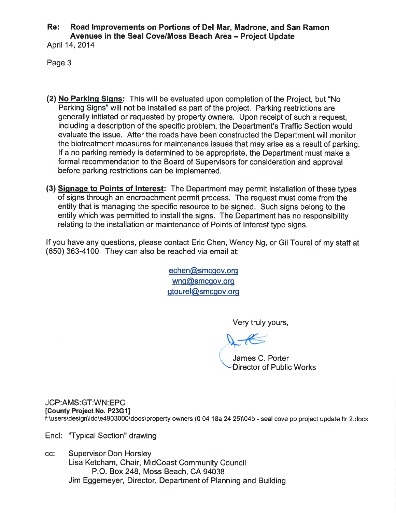#### Re: Road lmprovements on Portions of Del Mar, Madrone, and San Ramon Avenues in the Seal Cove/Moss Beach Area - Project Update April 14, 2014

Page 3

- (2) No Parking Signs: This will be evaluated upon completion of the Project, but "No Parking Signs" will not be installed as part of the project. Parking restrictions are generally initiated or requested by property owners. Upon receipt of such a request, including a description of the specific problem, the Department's Traffic Section would evaluate the issue. After the roads have been constructed the Department will monitor the biotreatment measures for maintenance issues that may arise as a result of parking. lf a no parking remedy is determined to be appropriate, the Department must make a formal recommendation to the Board of Supervisors for consideration and approval before parking restrictions can be implemented.
- (3) Signage to Points of Interest: The Department may permit installation of these types of signs through an encroachment permit process. The request must come from the entity that is managing the specific resource to be signed. Such signs belong to the entity which was permitted to install the signs. The Department has no responsibility relating to the installation or maintenance of Points of lnterest type signs.

lf you have any questions, please contact Eric Chen, Wency Ng, or Gil Tourel of my staff at (650) 363-4100. They can also be reached via email at:

> echen@smcqov.orq wng@smcgov.org gtourel@smcgov.org

> > Very truly yours,

James C. Porter Director of Public Works

JCP:AMS:GT:WN:EPC [County Project No. P23G1] f:\users\design\ldd\e4903000\docs\property owners (0 04 18a 24 25\\O4b - seal cove po project update ltr 2.docx

Encl: "Typical Section" drawing

cc: Supervisor Don Horsley Lisa Ketcham, Chair, MidCoast Community Council P.O. Box 248, Moss Beach, CA 94038 Jim Eggemeyer, Director, Department of Planning and Building